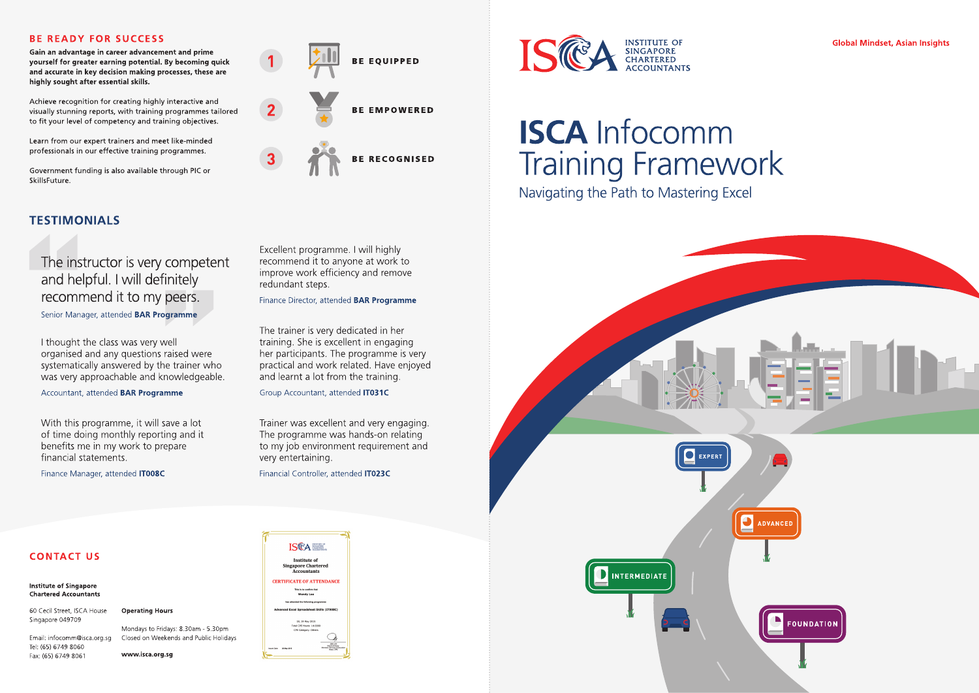### **BE READY FOR SUCCESS**

Gain an advantage in career advancement and prime yourself for greater earning potential. By becoming quick and accurate in key decision making processes, these are highly sought after essential skills.

Achieve recognition for creating highly interactive and visually stunning reports, with training programmes tailored to fit your level of competency and training objectives.

Learn from our expert trainers and meet like-minded professionals in our effective training programmes.

Government funding is also available through PIC or SkillsFuture.

### **TESTIMONIALS**

### The instructor is very competent and helpful. I will definitely recommend it to my peers.

Senior Manager, attended BAR Programme

I thought the class was very well organised and any questions raised were systematically answered by the trainer who was very approachable and knowledgeable.

Accountant, attended **BAR Programme** 

With this programme, it will save a lot of time doing monthly reporting and it benefits me in my work to prepare financial statements.

Finance Manager, attended **IT008C** 



Excellent programme. I will highly recommend it to anyone at work to improve work efficiency and remove redundant steps.

Finance Director, attended BAR Programme

The trainer is very dedicated in her training. She is excellent in engaging her participants. The programme is very practical and work related. Have enjoyed and learnt a lot from the training.

Group Accountant, attended IT031C

Trainer was excellent and very engaging. The programme was hands-on relating to my job environment requirement and very entertaining.

Financial Controller, attended **IT023C** 



# **ISCA Infocomm Training Framework**

Navigating the Path to Mastering Excel



### **CONTACT US**

**Institute of Singapore Chartered Accountants** 

Singapore 049709

60 Cecil Street, ISCA House **Operating Hours** 

Email: infocomm@isca.org.sg Tel: (65) 6749 8060 Fax: (65) 6749 8061

#### Mondays to Fridays: 8.30am - 5.30pm Closed on Weekends and Public Holidays

www.isca.org.sg



**Global Mindset, Asian Insights**